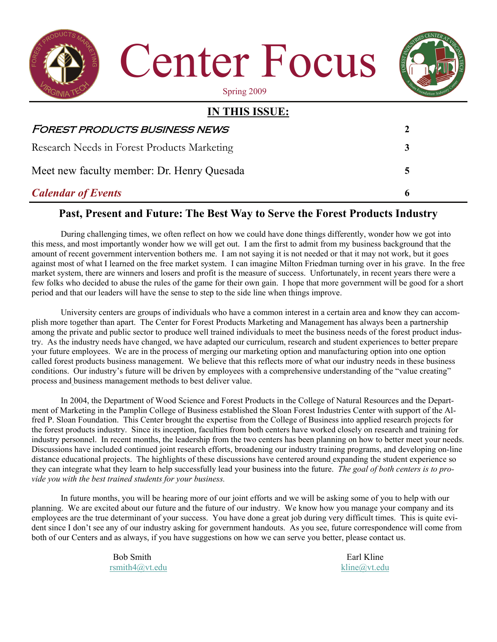

# *Calendar of Events* **6**

# **Past, Present and Future: The Best Way to Serve the Forest Products Industry**

During challenging times, we often reflect on how we could have done things differently, wonder how we got into this mess, and most importantly wonder how we will get out. I am the first to admit from my business background that the amount of recent government intervention bothers me. I am not saying it is not needed or that it may not work, but it goes against most of what I learned on the free market system. I can imagine Milton Friedman turning over in his grave. In the free market system, there are winners and losers and profit is the measure of success. Unfortunately, in recent years there were a few folks who decided to abuse the rules of the game for their own gain. I hope that more government will be good for a short period and that our leaders will have the sense to step to the side line when things improve.

 University centers are groups of individuals who have a common interest in a certain area and know they can accomplish more together than apart. The Center for Forest Products Marketing and Management has always been a partnership among the private and public sector to produce well trained individuals to meet the business needs of the forest product industry. As the industry needs have changed, we have adapted our curriculum, research and student experiences to better prepare your future employees. We are in the process of merging our marketing option and manufacturing option into one option called forest products business management. We believe that this reflects more of what our industry needs in these business conditions. Our industry's future will be driven by employees with a comprehensive understanding of the "value creating" process and business management methods to best deliver value.

 In 2004, the Department of Wood Science and Forest Products in the College of Natural Resources and the Department of Marketing in the Pamplin College of Business established the Sloan Forest Industries Center with support of the Alfred P. Sloan Foundation. This Center brought the expertise from the College of Business into applied research projects for the forest products industry. Since its inception, faculties from both centers have worked closely on research and training for industry personnel. In recent months, the leadership from the two centers has been planning on how to better meet your needs. Discussions have included continued joint research efforts, broadening our industry training programs, and developing on-line distance educational projects. The highlights of these discussions have centered around expanding the student experience so they can integrate what they learn to help successfully lead your business into the future. *The goal of both centers is to provide you with the best trained students for your business.* 

In future months, you will be hearing more of our joint efforts and we will be asking some of you to help with our planning. We are excited about our future and the future of our industry. We know how you manage your company and its employees are the true determinant of your success. You have done a great job during very difficult times. This is quite evident since I don't see any of our industry asking for government handouts. As you see, future correspondence will come from both of our Centers and as always, if you have suggestions on how we can serve you better, please contact us.

> Bob Smith Earl Kline [rsmith4@vt.edu](mailto:Rsmith4@vt.edu) [kline@vt.edu](mailto:Kline@vt.edu)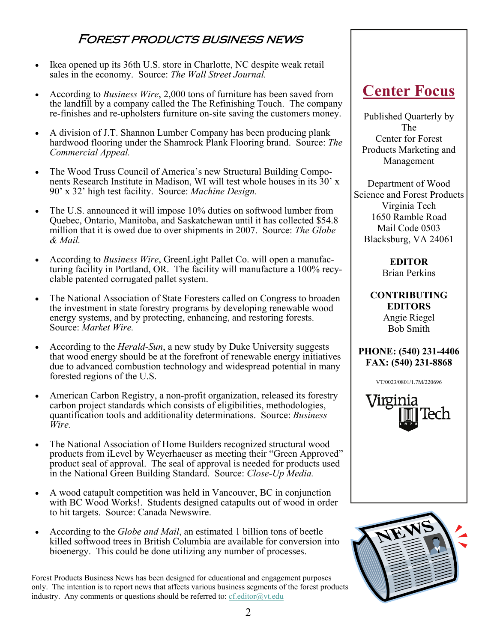# Forest products business news

- Ikea opened up its 36th U.S. store in Charlotte, NC despite weak retail sales in the economy. Source: *The Wall Street Journal.*
- According to *Business Wire*, 2,000 tons of furniture has been saved from the landfill by a company called the The Refinishing Touch. The company re-finishes and re-upholsters furniture on-site saving the customers money.
- A division of J.T. Shannon Lumber Company has been producing plank hardwood flooring under the Shamrock Plank Flooring brand. Source: *The Commercial Appeal.*
- The Wood Truss Council of America's new Structural Building Components Research Institute in Madison, WI will test whole houses in its 30' x 90' x 32' high test facility. Source: *Machine Design.*
- The U.S. announced it will impose 10% duties on softwood lumber from Quebec, Ontario, Manitoba, and Saskatchewan until it has collected \$54.8 million that it is owed due to over shipments in 2007. Source: *The Globe & Mail.*
- According to *Business Wire*, GreenLight Pallet Co. will open a manufacturing facility in Portland, OR. The facility will manufacture a 100% recyclable patented corrugated pallet system.
- The National Association of State Foresters called on Congress to broaden the investment in state forestry programs by developing renewable wood energy systems, and by protecting, enhancing, and restoring forests. Source: *Market Wire.*
- According to the *Herald-Sun*, a new study by Duke University suggests that wood energy should be at the forefront of renewable energy initiatives due to advanced combustion technology and widespread potential in many forested regions of the U.S.
- American Carbon Registry, a non-profit organization, released its forestry carbon project standards which consists of eligibilities, methodologies, quantification tools and additionality determinations. Source: *Business Wire.*
- The National Association of Home Builders recognized structural wood products from iLevel by Weyerhaeuser as meeting their "Green Approved" product seal of approval. The seal of approval is needed for products used in the National Green Building Standard. Source: *Close-Up Media.*
- A wood catapult competition was held in Vancouver, BC in conjunction with BC Wood Works!. Students designed catapults out of wood in order to hit targets. Source: Canada Newswire.
- According to the *Globe and Mail*, an estimated 1 billion tons of beetle killed softwood trees in British Columbia are available for conversion into bioenergy. This could be done utilizing any number of processes.

Forest Products Business News has been designed for educational and engagement purposes only. The intention is to report news that affects various business segments of the forest products industry. Any comments or questions should be referred to:  $cf.$ editor $@$ vt.edu

# **Center Focus**

Published Quarterly by The Center for Forest Products Marketing and Management

Department of Wood Science and Forest Products Virginia Tech 1650 Ramble Road Mail Code 0503 Blacksburg, VA 24061

> **EDITOR**  Brian Perkins

**CONTRIBUTING EDITORS**  Angie Riegel Bob Smith

### **PHONE: (540) 231-4406 FAX: (540) 231-8868**

VT/0023/0801/1.7M/220696



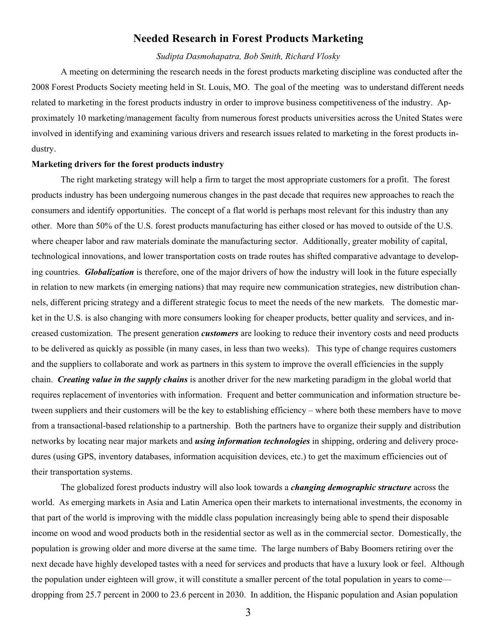#### **Needed Research in Forest Products Marketing**

#### *Sudipta Dasmohapatra, Bob Smith, Richard Vlosky*

 A meeting on determining the research needs in the forest products marketing discipline was conducted after the 2008 Forest Products Society meeting held in St. Louis, MO. The goal of the meeting was to understand different needs related to marketing in the forest products industry in order to improve business competitiveness of the industry. Approximately 10 marketing/management faculty from numerous forest products universities across the United States were involved in identifying and examining various drivers and research issues related to marketing in the forest products industry.

#### **Marketing drivers for the forest products industry**

The right marketing strategy will help a firm to target the most appropriate customers for a profit. The forest products industry has been undergoing numerous changes in the past decade that requires new approaches to reach the consumers and identify opportunities. The concept of a flat world is perhaps most relevant for this industry than any other. More than 50% of the U.S. forest products manufacturing has either closed or has moved to outside of the U.S. where cheaper labor and raw materials dominate the manufacturing sector. Additionally, greater mobility of capital, technological innovations, and lower transportation costs on trade routes has shifted comparative advantage to developing countries. *Globalization* is therefore, one of the major drivers of how the industry will look in the future especially in relation to new markets (in emerging nations) that may require new communication strategies, new distribution channels, different pricing strategy and a different strategic focus to meet the needs of the new markets. The domestic market in the U.S. is also changing with more consumers looking for cheaper products, better quality and services, and increased customization. The present generation *customers* are looking to reduce their inventory costs and need products to be delivered as quickly as possible (in many cases, in less than two weeks). This type of change requires customers and the suppliers to collaborate and work as partners in this system to improve the overall efficiencies in the supply chain. *Creating value in the supply chains* is another driver for the new marketing paradigm in the global world that requires replacement of inventories with information. Frequent and better communication and information structure between suppliers and their customers will be the key to establishing efficiency – where both these members have to move from a transactional-based relationship to a partnership. Both the partners have to organize their supply and distribution networks by locating near major markets and *using information technologies* in shipping, ordering and delivery procedures (using GPS, inventory databases, information acquisition devices, etc.) to get the maximum efficiencies out of their transportation systems.

The globalized forest products industry will also look towards a *changing demographic structure* across the world. As emerging markets in Asia and Latin America open their markets to international investments, the economy in that part of the world is improving with the middle class population increasingly being able to spend their disposable income on wood and wood products both in the residential sector as well as in the commercial sector. Domestically, the population is growing older and more diverse at the same time. The large numbers of Baby Boomers retiring over the next decade have highly developed tastes with a need for services and products that have a luxury look or feel. Although the population under eighteen will grow, it will constitute a smaller percent of the total population in years to come dropping from 25.7 percent in 2000 to 23.6 percent in 2030. In addition, the Hispanic population and Asian population

3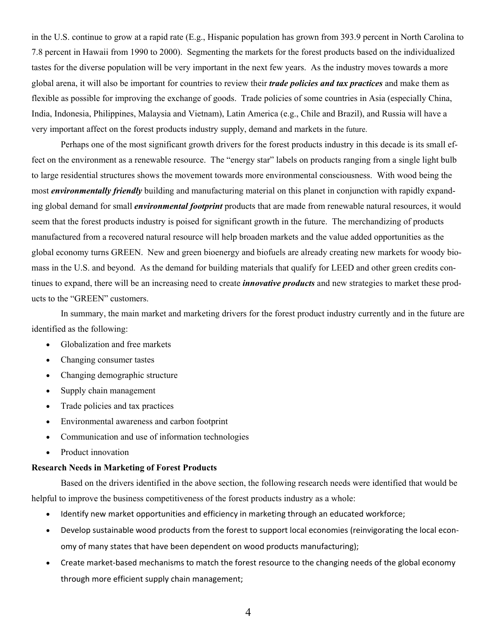in the U.S. continue to grow at a rapid rate (E.g., Hispanic population has grown from 393.9 percent in North Carolina to 7.8 percent in Hawaii from 1990 to 2000). Segmenting the markets for the forest products based on the individualized tastes for the diverse population will be very important in the next few years. As the industry moves towards a more global arena, it will also be important for countries to review their *trade policies and tax practices* and make them as flexible as possible for improving the exchange of goods. Trade policies of some countries in Asia (especially China, India, Indonesia, Philippines, Malaysia and Vietnam), Latin America (e.g., Chile and Brazil), and Russia will have a very important affect on the forest products industry supply, demand and markets in the future.

Perhaps one of the most significant growth drivers for the forest products industry in this decade is its small effect on the environment as a renewable resource. The "energy star" labels on products ranging from a single light bulb to large residential structures shows the movement towards more environmental consciousness. With wood being the most *environmentally friendly* building and manufacturing material on this planet in conjunction with rapidly expanding global demand for small *environmental footprint* products that are made from renewable natural resources, it would seem that the forest products industry is poised for significant growth in the future. The merchandizing of products manufactured from a recovered natural resource will help broaden markets and the value added opportunities as the global economy turns GREEN. New and green bioenergy and biofuels are already creating new markets for woody biomass in the U.S. and beyond. As the demand for building materials that qualify for LEED and other green credits continues to expand, there will be an increasing need to create *innovative products* and new strategies to market these products to the "GREEN" customers.

In summary, the main market and marketing drivers for the forest product industry currently and in the future are identified as the following:

- Globalization and free markets
- Changing consumer tastes
- Changing demographic structure
- Supply chain management
- Trade policies and tax practices
- Environmental awareness and carbon footprint
- Communication and use of information technologies
- Product innovation

#### **Research Needs in Marketing of Forest Products**

 Based on the drivers identified in the above section, the following research needs were identified that would be helpful to improve the business competitiveness of the forest products industry as a whole:

- Identify new market opportunities and efficiency in marketing through an educated workforce;
- Develop sustainable wood products from the forest to support local economies (reinvigorating the local econ‐ omy of many states that have been dependent on wood products manufacturing);
- Create market‐based mechanisms to match the forest resource to the changing needs of the global economy through more efficient supply chain management;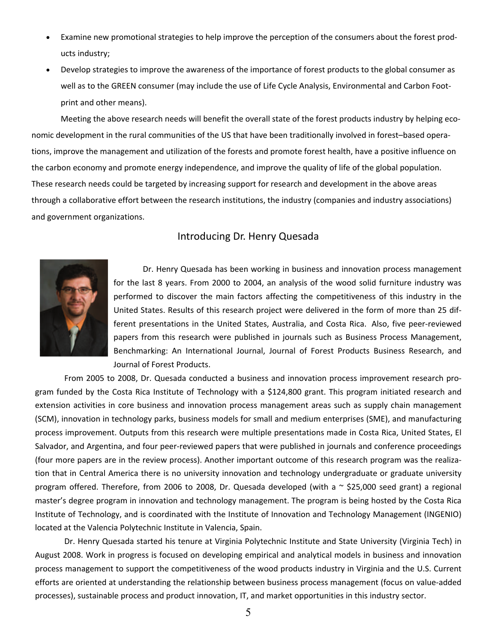- Examine new promotional strategies to help improve the perception of the consumers about the forest prod‐ ucts industry;
- Develop strategies to improve the awareness of the importance of forest products to the global consumer as well as to the GREEN consumer (may include the use of Life Cycle Analysis, Environmental and Carbon Footprint and other means).

Meeting the above research needs will benefit the overall state of the forest products industry by helping economic development in the rural communities of the US that have been traditionally involved in forest–based opera‐ tions, improve the management and utilization of the forests and promote forest health, have a positive influence on the carbon economy and promote energy independence, and improve the quality of life of the global population. These research needs could be targeted by increasing support for research and development in the above areas through a collaborative effort between the research institutions, the industry (companies and industry associations) and government organizations.

## Introducing Dr. Henry Quesada



Dr. Henry Quesada has been working in business and innovation process management for the last 8 years. From 2000 to 2004, an analysis of the wood solid furniture industry was performed to discover the main factors affecting the competitiveness of this industry in the United States. Results of this research project were delivered in the form of more than 25 dif‐ ferent presentations in the United States, Australia, and Costa Rica. Also, five peer‐reviewed papers from this research were published in journals such as Business Process Management, Benchmarking: An International Journal, Journal of Forest Products Business Research, and Journal of Forest Products.

From 2005 to 2008, Dr. Quesada conducted a business and innovation process improvement research pro‐ gram funded by the Costa Rica Institute of Technology with a \$124,800 grant. This program initiated research and extension activities in core business and innovation process management areas such as supply chain management (SCM), innovation in technology parks, business models for small and medium enterprises (SME), and manufacturing process improvement. Outputs from this research were multiple presentations made in Costa Rica, United States, El Salvador, and Argentina, and four peer-reviewed papers that were published in journals and conference proceedings (four more papers are in the review process). Another important outcome of this research program was the realiza‐ tion that in Central America there is no university innovation and technology undergraduate or graduate university program offered. Therefore, from 2006 to 2008, Dr. Quesada developed (with a ~ \$25,000 seed grant) a regional master's degree program in innovation and technology management. The program is being hosted by the Costa Rica Institute of Technology, and is coordinated with the Institute of Innovation and Technology Management (INGENIO) located at the Valencia Polytechnic Institute in Valencia, Spain.

Dr. Henry Quesada started his tenure at Virginia Polytechnic Institute and State University (Virginia Tech) in August 2008. Work in progress is focused on developing empirical and analytical models in business and innovation process management to support the competitiveness of the wood products industry in Virginia and the U.S. Current efforts are oriented at understanding the relationship between business process management (focus on value‐added processes), sustainable process and product innovation, IT, and market opportunities in this industry sector.